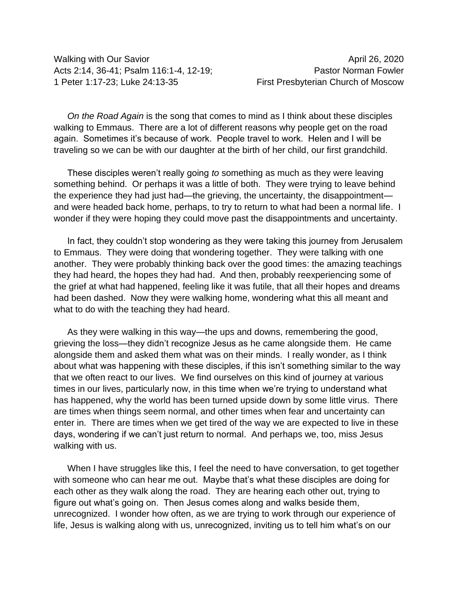Walking with Our Savior April 26, 2020 Acts 2:14, 36-41; Psalm 116:1-4, 12-19; Pastor Norman Fowler 1 Peter 1:17-23; Luke 24:13-35 First Presbyterian Church of Moscow

*On the Road Again* is the song that comes to mind as I think about these disciples walking to Emmaus. There are a lot of different reasons why people get on the road again. Sometimes it's because of work. People travel to work. Helen and I will be traveling so we can be with our daughter at the birth of her child, our first grandchild.

These disciples weren't really going *to* something as much as they were leaving something behind. Or perhaps it was a little of both. They were trying to leave behind the experience they had just had—the grieving, the uncertainty, the disappointment and were headed back home, perhaps, to try to return to what had been a normal life. I wonder if they were hoping they could move past the disappointments and uncertainty.

In fact, they couldn't stop wondering as they were taking this journey from Jerusalem to Emmaus. They were doing that wondering together. They were talking with one another. They were probably thinking back over the good times: the amazing teachings they had heard, the hopes they had had. And then, probably reexperiencing some of the grief at what had happened, feeling like it was futile, that all their hopes and dreams had been dashed. Now they were walking home, wondering what this all meant and what to do with the teaching they had heard.

As they were walking in this way—the ups and downs, remembering the good, grieving the loss—they didn't recognize Jesus as he came alongside them. He came alongside them and asked them what was on their minds. I really wonder, as I think about what was happening with these disciples, if this isn't something similar to the way that we often react to our lives. We find ourselves on this kind of journey at various times in our lives, particularly now, in this time when we're trying to understand what has happened, why the world has been turned upside down by some little virus. There are times when things seem normal, and other times when fear and uncertainty can enter in. There are times when we get tired of the way we are expected to live in these days, wondering if we can't just return to normal. And perhaps we, too, miss Jesus walking with us.

When I have struggles like this, I feel the need to have conversation, to get together with someone who can hear me out. Maybe that's what these disciples are doing for each other as they walk along the road. They are hearing each other out, trying to figure out what's going on. Then Jesus comes along and walks beside them, unrecognized. I wonder how often, as we are trying to work through our experience of life, Jesus is walking along with us, unrecognized, inviting us to tell him what's on our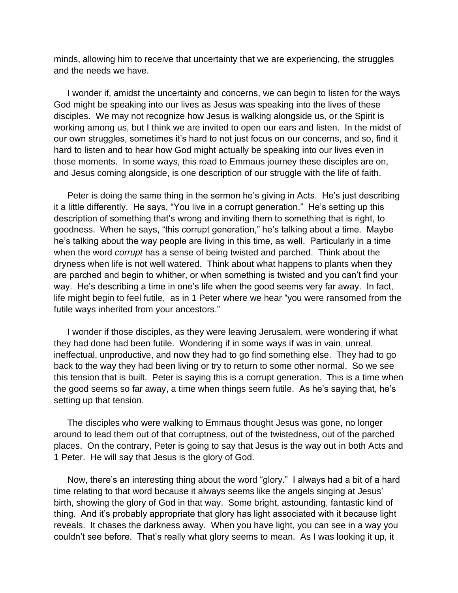minds, allowing him to receive that uncertainty that we are experiencing, the struggles and the needs we have.

I wonder if, amidst the uncertainty and concerns, we can begin to listen for the ways God might be speaking into our lives as Jesus was speaking into the lives of these disciples. We may not recognize how Jesus is walking alongside us, or the Spirit is working among us, but I think we are invited to open our ears and listen. In the midst of our own struggles, sometimes it's hard to not just focus on our concerns, and so, find it hard to listen and to hear how God might actually be speaking into our lives even in those moments. In some ways, this road to Emmaus journey these disciples are on, and Jesus coming alongside, is one description of our struggle with the life of faith.

Peter is doing the same thing in the sermon he's giving in Acts. He's just describing it a little differently. He says, "You live in a corrupt generation." He's setting up this description of something that's wrong and inviting them to something that is right, to goodness. When he says, "this corrupt generation," he's talking about a time. Maybe he's talking about the way people are living in this time, as well. Particularly in a time when the word *corrupt* has a sense of being twisted and parched. Think about the dryness when life is not well watered. Think about what happens to plants when they are parched and begin to whither, or when something is twisted and you can't find your way. He's describing a time in one's life when the good seems very far away. In fact, life might begin to feel futile, as in 1 Peter where we hear "you were ransomed from the futile ways inherited from your ancestors."

I wonder if those disciples, as they were leaving Jerusalem, were wondering if what they had done had been futile. Wondering if in some ways if was in vain, unreal, ineffectual, unproductive, and now they had to go find something else. They had to go back to the way they had been living or try to return to some other normal. So we see this tension that is built. Peter is saying this is a corrupt generation. This is a time when the good seems so far away, a time when things seem futile. As he's saying that, he's setting up that tension.

The disciples who were walking to Emmaus thought Jesus was gone, no longer around to lead them out of that corruptness, out of the twistedness, out of the parched places. On the contrary, Peter is going to say that Jesus is the way out in both Acts and 1 Peter. He will say that Jesus is the glory of God.

Now, there's an interesting thing about the word "glory." I always had a bit of a hard time relating to that word because it always seems like the angels singing at Jesus' birth, showing the glory of God in that way. Some bright, astounding, fantastic kind of thing. And it's probably appropriate that glory has light associated with it because light reveals. It chases the darkness away. When you have light, you can see in a way you couldn't see before. That's really what glory seems to mean. As I was looking it up, it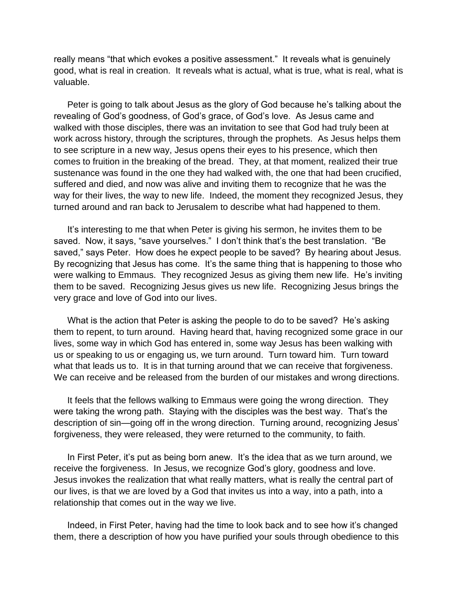really means "that which evokes a positive assessment." It reveals what is genuinely good, what is real in creation. It reveals what is actual, what is true, what is real, what is valuable.

Peter is going to talk about Jesus as the glory of God because he's talking about the revealing of God's goodness, of God's grace, of God's love. As Jesus came and walked with those disciples, there was an invitation to see that God had truly been at work across history, through the scriptures, through the prophets. As Jesus helps them to see scripture in a new way, Jesus opens their eyes to his presence, which then comes to fruition in the breaking of the bread. They, at that moment, realized their true sustenance was found in the one they had walked with, the one that had been crucified, suffered and died, and now was alive and inviting them to recognize that he was the way for their lives, the way to new life. Indeed, the moment they recognized Jesus, they turned around and ran back to Jerusalem to describe what had happened to them.

It's interesting to me that when Peter is giving his sermon, he invites them to be saved. Now, it says, "save yourselves." I don't think that's the best translation. "Be saved," says Peter. How does he expect people to be saved? By hearing about Jesus. By recognizing that Jesus has come. It's the same thing that is happening to those who were walking to Emmaus. They recognized Jesus as giving them new life. He's inviting them to be saved. Recognizing Jesus gives us new life. Recognizing Jesus brings the very grace and love of God into our lives.

What is the action that Peter is asking the people to do to be saved? He's asking them to repent, to turn around. Having heard that, having recognized some grace in our lives, some way in which God has entered in, some way Jesus has been walking with us or speaking to us or engaging us, we turn around. Turn toward him. Turn toward what that leads us to. It is in that turning around that we can receive that forgiveness. We can receive and be released from the burden of our mistakes and wrong directions.

It feels that the fellows walking to Emmaus were going the wrong direction. They were taking the wrong path. Staying with the disciples was the best way. That's the description of sin—going off in the wrong direction. Turning around, recognizing Jesus' forgiveness, they were released, they were returned to the community, to faith.

In First Peter, it's put as being born anew. It's the idea that as we turn around, we receive the forgiveness. In Jesus, we recognize God's glory, goodness and love. Jesus invokes the realization that what really matters, what is really the central part of our lives, is that we are loved by a God that invites us into a way, into a path, into a relationship that comes out in the way we live.

Indeed, in First Peter, having had the time to look back and to see how it's changed them, there a description of how you have purified your souls through obedience to this